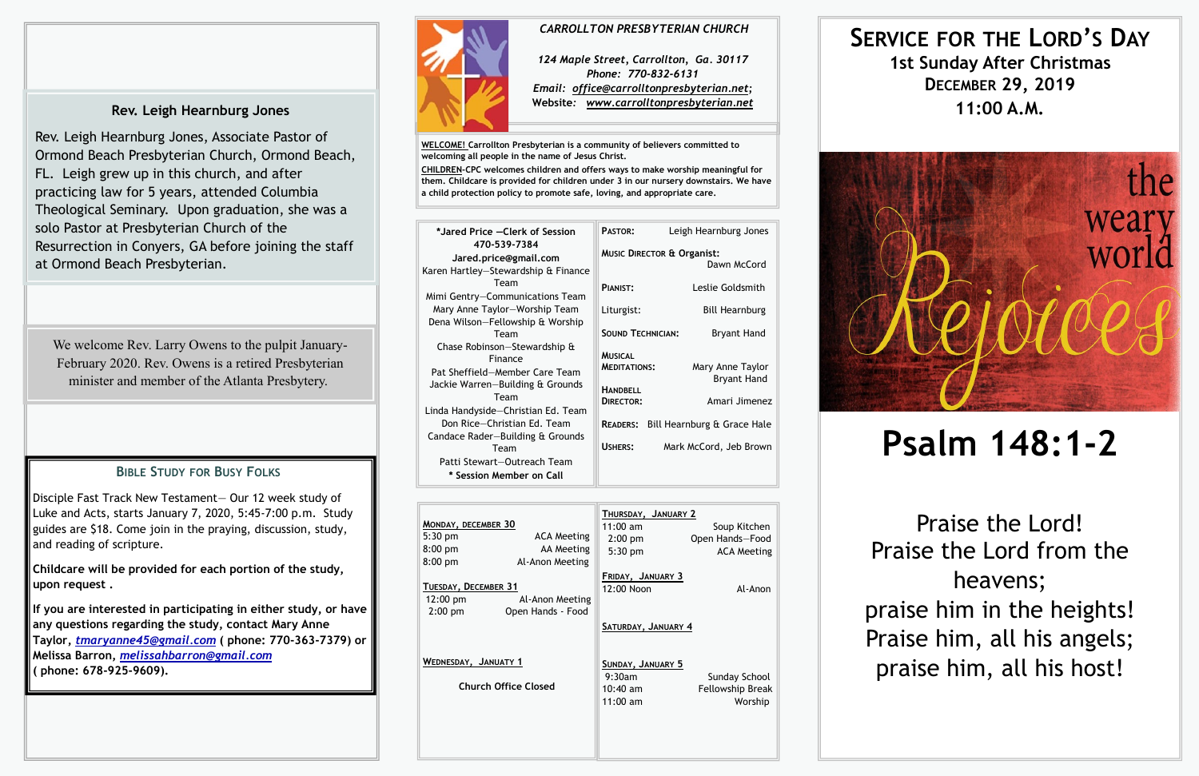| MONDAY, DECEMBER 30<br>$5:30$ pm<br>$8:00$ pm<br>$8:00$ pm | <b>ACA Meeting</b><br>AA Meeting<br>Al-Anon Meeting | THURSDAY, JANUARY 2<br>$11:00 \text{ am}$<br>$2:00$ pm<br>$5:30$ pm | Soup Kitchen<br>Open Hands-Food<br><b>ACA Meeting</b> |
|------------------------------------------------------------|-----------------------------------------------------|---------------------------------------------------------------------|-------------------------------------------------------|
| TUESDAY, DECEMBER 31<br>$12:00 \text{ pm}$<br>$2:00$ pm    | Al-Anon Meeting<br>Open Hands - Food                | FRIDAY, JANUARY 3<br>12:00 Noon<br>SATURDAY, JANUARY 4              | Al-Anon                                               |
| WEDNESDAY, JANUATY 1<br><b>Church Office Closed</b>        |                                                     | SUNDAY, JANUARY 5<br>9:30am<br>$10:40$ am<br>$11:00$ am             | Sunday School<br>Fellowship Break<br>Worship          |

**WELCOME! Carrollton Presbyterian is a community of believers committed to welcoming all people in the name of Jesus Christ.**

**CHILDREN-CPC welcomes children and offers ways to make worship meaningful for them. Childcare is provided for children under 3 in our nursery downstairs. We have a child protection policy to promote safe, loving, and appropriate care.** 

| *Jared Price – Clerk of Session                                                                               | PASTOR:                                                  | Leigh Hearnburg Jones                                |
|---------------------------------------------------------------------------------------------------------------|----------------------------------------------------------|------------------------------------------------------|
| 470-539-7384<br>Jared.price@gmail.com<br>Karen Hartley-Stewardship & Finance                                  |                                                          | <b>MUSIC DIRECTOR &amp; Organist:</b><br>Dawn McCord |
| Team<br>Mimi Gentry-Communications Team                                                                       | PIANIST:                                                 | Leslie Goldsmith                                     |
| Mary Anne Taylor-Worship Team<br>Dena Wilson-Fellowship & Worship                                             | Liturgist:                                               | <b>Bill Hearnburg</b>                                |
| Team                                                                                                          | <b>SOUND TECHNICIAN:</b>                                 | <b>Bryant Hand</b>                                   |
| Chase Robinson-Stewardship &<br>Finance<br>Pat Sheffield-Member Care Team<br>Jackie Warren-Building & Grounds | <b>MUSICAL</b><br><b>MEDITATIONS:</b><br><b>HANDBELL</b> | Mary Anne Taylor<br><b>Bryant Hand</b>               |
| Team<br>Linda Handyside-Christian Ed. Team                                                                    | <b>DIRECTOR:</b>                                         | Amari Jimenez                                        |
| Don Rice-Christian Ed. Team<br>Candace Rader-Building & Grounds                                               |                                                          | <b>READERS:</b> Bill Hearnburg & Grace Hale          |
| Team                                                                                                          | USHERS:                                                  | Mark McCord, Jeb Brown                               |
| Patti Stewart-Outreach Team                                                                                   |                                                          |                                                      |
| * Session Member on Call                                                                                      |                                                          |                                                      |

# **SERVICE FOR THE LORD'S DAY 1st Sunday After Christmas DECEMBER 29, 2019 11:00 A.M.**



# **Psalm 148:1-2**

Praise the Lord! Praise the Lord from the heavens; praise him in the heights! Praise him, all his angels; praise him, all his host!

### *CARROLLTON PRESBYTERIAN CHURCH*

*124 Maple Street, Carrollton, Ga. 30117 Phone: 770-832-6131 Email: office@carrolltonpresbyterian.net;* **Website***: www.carrolltonpresbyterian.net*

We welcome Rev. Larry Owens to the pulpit January-February 2020. Rev. Owens is a retired Presbyterian minister and member of the Atlanta Presbytery.

### **BIBLE STUDY FOR BUSY FOLKS**

Disciple Fast Track New Testament— Our 12 week study of Luke and Acts, starts January 7, 2020, 5:45-7:00 p.m. Study guides are \$18. Come join in the praying, discussion, study, and reading of scripture.

**Childcare will be provided for each portion of the study, upon request .**

**If you are interested in participating in either study, or have any questions regarding the study, contact Mary Anne Taylor,** *[tmaryanne45@gmail.com](mailto:tmaryanne45@gmail.com)* **( phone: 770-363-7379) or Melissa Barron,** *[melissahbarron@gmail.com](mailto:atmelissahbarron@gmail.com)* **( phone: 678-925-9609).** 



## **Rev. Leigh Hearnburg Jones**

Rev. Leigh Hearnburg Jones, Associate Pastor of Ormond Beach Presbyterian Church, Ormond Beach, FL. Leigh grew up in this church, and after practicing law for 5 years, attended Columbia Theological Seminary. Upon graduation, she was a solo Pastor at Presbyterian Church of the Resurrection in Conyers, GA before joining the staff at Ormond Beach Presbyterian.